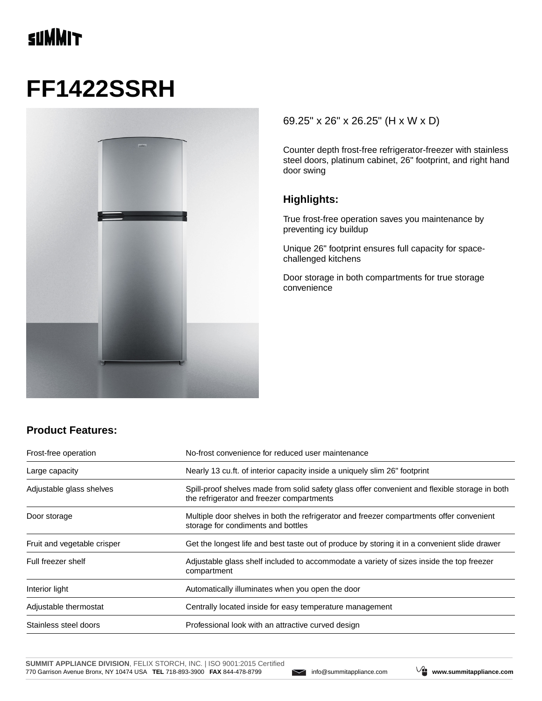# **SUMMIT**

# **FF1422SSRH**



#### 69.25" x 26" x 26.25" (H x W x D)

Counter depth frost-free refrigerator-freezer with stainless steel doors, platinum cabinet, 26" footprint, and right hand door swing

#### **Highlights:**

True frost-free operation saves you maintenance by preventing icy buildup

Unique 26" footprint ensures full capacity for spacechallenged kitchens

Door storage in both compartments for true storage convenience

### **Product Features:**

| Frost-free operation        | No-frost convenience for reduced user maintenance                                                                                           |  |
|-----------------------------|---------------------------------------------------------------------------------------------------------------------------------------------|--|
| Large capacity              | Nearly 13 cu.ft. of interior capacity inside a uniquely slim 26" footprint                                                                  |  |
| Adjustable glass shelves    | Spill-proof shelves made from solid safety glass offer convenient and flexible storage in both<br>the refrigerator and freezer compartments |  |
| Door storage                | Multiple door shelves in both the refrigerator and freezer compartments offer convenient<br>storage for condiments and bottles              |  |
| Fruit and vegetable crisper | Get the longest life and best taste out of produce by storing it in a convenient slide drawer                                               |  |
| Full freezer shelf          | Adjustable glass shelf included to accommodate a variety of sizes inside the top freezer<br>compartment                                     |  |
| Interior light              | Automatically illuminates when you open the door                                                                                            |  |
| Adjustable thermostat       | Centrally located inside for easy temperature management                                                                                    |  |
| Stainless steel doors       | Professional look with an attractive curved design                                                                                          |  |